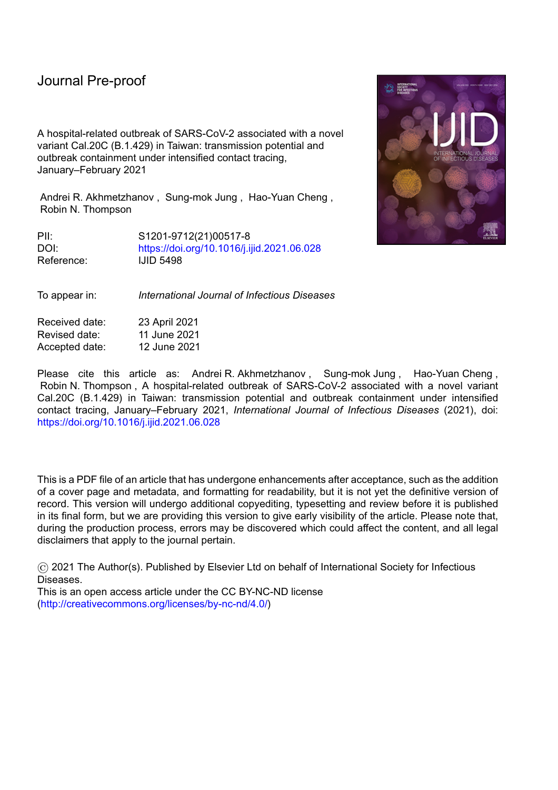A hospital-related outbreak of SARS-CoV-2 associated with a novel variant Cal.20C (B.1.429) in Taiwan: transmission potential and outbreak containment under intensified contact tracing, January–February 2021

Andrei R. Akhmetzhanov , Sung-mok Jung , Hao-Yuan Cheng , Robin N. Thompson

PII: S1201-9712(21)00517-8 DOI: <https://doi.org/10.1016/j.ijid.2021.06.028> Reference: **IJID 5498** 

To appear in: *International Journal of Infectious Diseases*

Received date: 23 April 2021 Revised date: 11 June 2021 Accepted date: 12 June 2021

Please cite this article as: Andrei R. Akhmetzhanov, Sung-mok Jung, Hao-Yuan Cheng, Robin N. Thompson , A hospital-related outbreak of SARS-CoV-2 associated with a novel variant Cal.20C (B.1.429) in Taiwan: transmission potential and outbreak containment under intensified contact tracing, January–February 2021, *International Journal of Infectious Diseases* (2021), doi: <https://doi.org/10.1016/j.ijid.2021.06.028>

This is a PDF file of an article that has undergone enhancements after acceptance, such as the addition of a cover page and metadata, and formatting for readability, but it is not yet the definitive version of record. This version will undergo additional copyediting, typesetting and review before it is published in its final form, but we are providing this version to give early visibility of the article. Please note that, during the production process, errors may be discovered which could affect the content, and all legal disclaimers that apply to the journal pertain.

© 2021 The Author(s). Published by Elsevier Ltd on behalf of International Society for Infectious Diseases.

This is an open access article under the CC BY-NC-ND license [\(http://creativecommons.org/licenses/by-nc-nd/4.0/\)](http://creativecommons.org/licenses/by-nc-nd/4.0/)

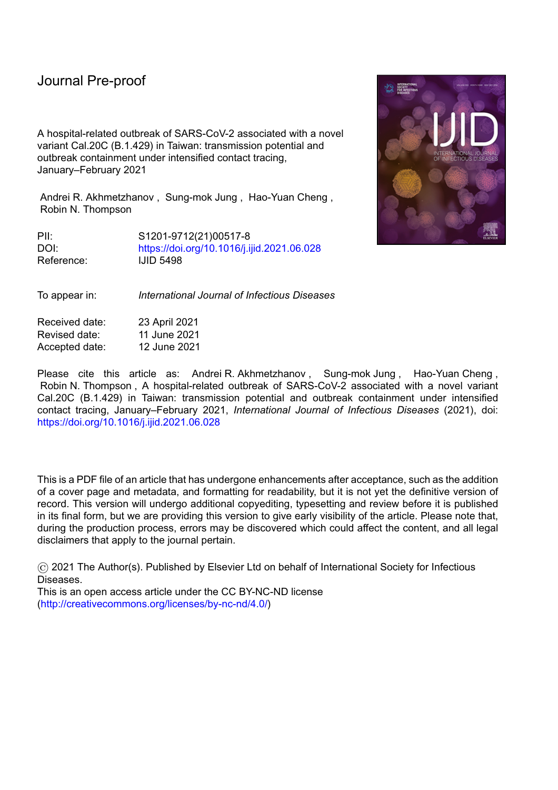# **Highlights**

- This outbreak was contained by extensive contact tracing and proactive isolation
- These rigorous measures allowed the outbreak end to be declared quickly

l

- Less stringent control would have meant lower confidence that the outbreak was over
- Public vigilance was still required for several weeks after the final case
- 

Later identification of the outbreak could have led to more infections<br>  $\begin{pmatrix} 1 & 1 & 0 \\ 0 & 1 & 0 \\ 0 & 0 & 1 \end{pmatrix}$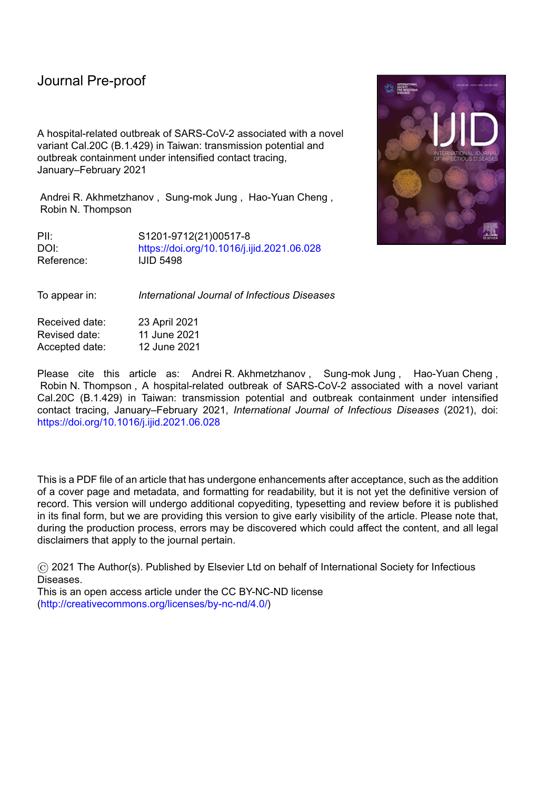l

**A hospital-related outbreak of SARS-CoV-2 associated with a novel variant Cal.20C (B.1.429) in Taiwan: transmission potential and outbreak containment under intensified contact tracing, January–February 2021**

**Andrei R. Akhmetzhanova,\* , Sung-mok Jungb,c , Hao-Yuan Cheng<sup>d</sup> , Robin N. Thompsone,f** <sup>a</sup> College of Public Health, National Taiwan University, 17 Xu-Zhou Road, Zhongzheng District,

Taipei, 10055, Taiwan

<sup>b</sup> School of Public Health, Kyoto University, Yoshidakonoecho, Sakyoku, Kyoto, 606-8501, Japan

<sup>c</sup> Graduate School of Medicine, Hokkaido University, Kita 15 Jo Nishi 7 Chome, Kita-ku,

Sapporo-shi, Hokkaido, 060-8638, Japan

<sup>d</sup> Epidemic Intelligence Center, Taiwan Centers for Disease Control, 6 Linsen South Road,

Zhongzheng District, Taipei, 10050, Taiwan

<sup>e</sup> Mathematics Institute, University of Warwick, Coventry, CV4 7AL, U.K.

<sup>f</sup>Zeeman Institute for Systems Biology and Infectious Disease Epidemiology Research,

University of Warwick, Coventry, CV4 7AL, U.K.

\* Corresponding author at: Global Health Program & Institute of Epidemiology and Preventive Medicine, College of Public Health, National Taiwan University, 17 Xu-Zhou Rd, Taipei 10055, Taiwan.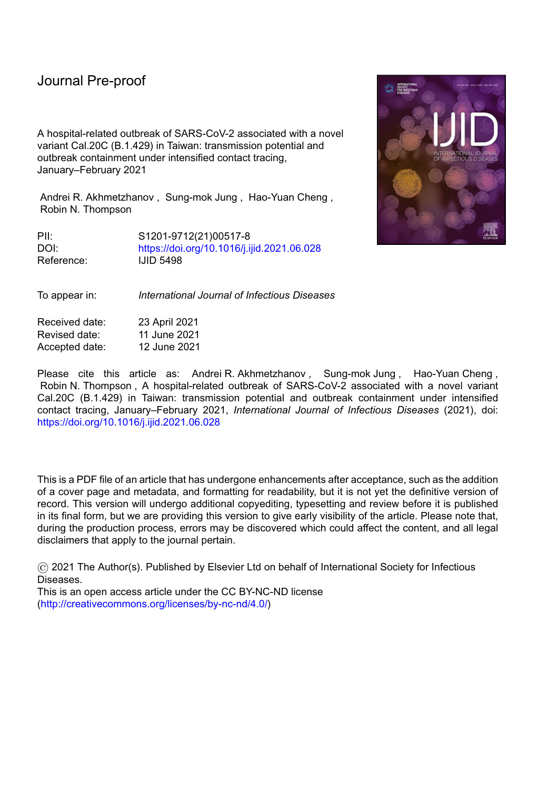Emails: akhmetzhanov@ntu.edu.tw (A.R. Akhmetzhanov), seductmd@gmail.com (S-m. Jung), drhao@cdc.gov.tw (H-Y. Cheng), robin.n.thompson@warwick.ac.uk (R.N. Thompson)

l

Journal Pricingion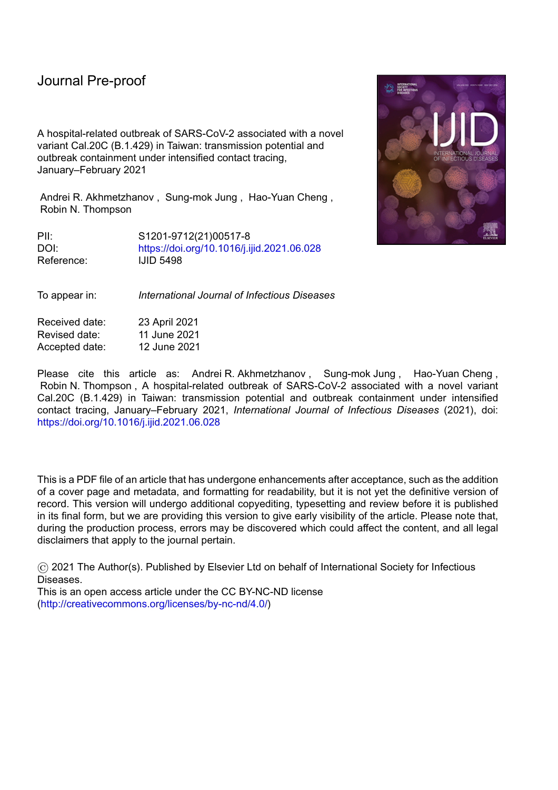l

#### **Abstract**

*Objectives*: A hospital-related cluster of 22 COVID-19 cases occurred in Taiwan in January– February 2021. Rigorous control measures were introduced and could only be relaxed once the outbreak was declared over. Each day after the apparent outbreak end, we estimated the risk of future cases occurring, to inform decision-making.

*Methods*: Probabilistic transmission networks were reconstructed and transmission parameters (the reproduction number *R* and overdispersion parameter *k*) were estimated. We estimated the reporting delay during the outbreak (Scenario 1). We also considered a counterfactual scenario with less effective interventions characterized by a longer reporting delay (Scenario 2). Each day, we estimated the risk of future cases under both scenarios.

*Results:* The values of *R* and *k* were estimated to be 1.30 (95% credible interval: 0.57,3.80) and 0.38 (0.12,1.20), respectively. The mean reporting delays considered were 2.5 days (Scenario 1) and 7.8 days (Scenario 2). The inferred probability of future cases occurring declined more quickly in Scenario 1 than Scenario 2.

*Conclusions*: Following outbreak containment, rigorous control measures allowed the outbreak to be declared over quickly. This highlights the need for effective interventions, not only to reduce cases during outbreaks but also to allow outbreaks to be declared over with confidence.

#### **Introduction**

As of 9 March 2021, Taiwan had confirmed fewer than 1,000 SARS-CoV-2 infections, of which 77 were locally acquired (Taiwan Centers for Disease Control, 2021). Following stringent border control measures, proactive contact tracing and case isolation, Taiwan's largest individual outbreak to date was a hospital-related outbreak that involved 22 cases and occurred in January-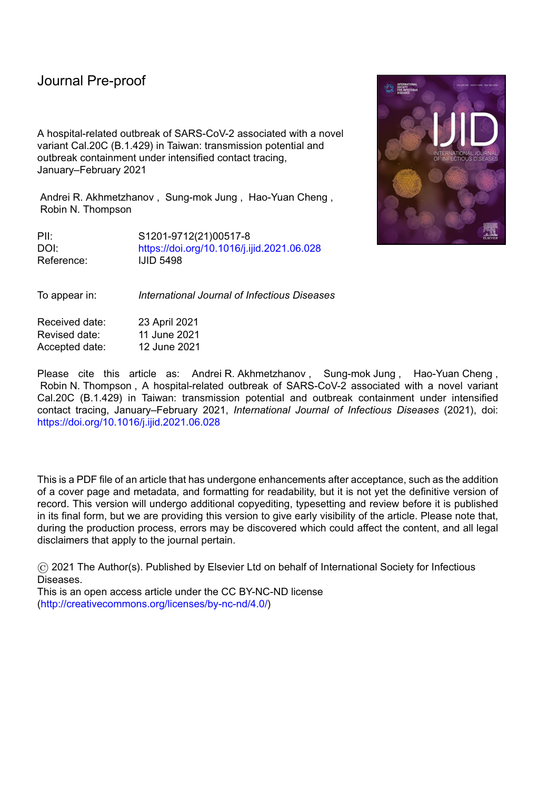l

February 2021. Despite successful containment of that outbreak, some aspects were concerning. First, the custom of wearing face masks, especially in hospital, was unable to fully prevent transmission in several instances (Central Epidemic Command Center, 2021b). Second, the source of infection for one of the infected inpatients was undetermined: that individual attended a hospital ward that was not included in a so-called "red zone", and he did not interact with other detected infected individuals (Central Epidemic Command Center, 2021a). Third, having implemented control measures at the time of the first suspected cases, additional cases continued to be seen 1–2 weeks afterwards. This led to further investigations into possible causes of the outbreak and required an end-of-outbreak determination (i.e., assessment of the probability that the outbreak was over—or, conversely, the probability that additional reported cases would occur in future) after the last case was reported (Djaafara et al., 2021, Nishiura et al., 2016, Parag et al., 2020).

Here, we provide a descriptive analysis of the outbreak and quantify viral transmissibility during that outbreak. We also present estimates of the probability that additional reported cases would occur in future, as obtained in real-time after the final case had been observed. As the time since the last observed case increases, the certainty that the outbreak is over increases. We consider two distinct scenarios when estimating the probability of future cases. Scenario 1 describes containment of the outbreak under intensified contact tracing, as was the situation during this outbreak. Under Scenario 1, proactive testing and quarantine of all close contacts of detected cases (and suspected cases) after epidemiological investigations was considered, so that cases are found quickly and transmission beyond individuals that attended hospital and their contacts was unlikely. Scenario 2 describes a situation with reduced contact tracing and testing, increasing the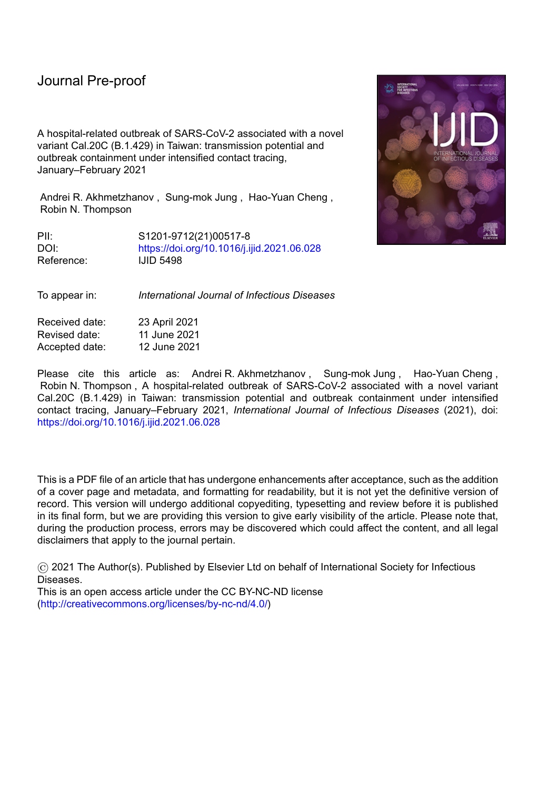l

risk of transmission into the wider community with some chains of transmission potentially remaining untraced. In our analysis, these scenarios are assessed by implementing two different reporting delays, which represent the time periods from symptom onset to case confirmation. The reporting delay under Scenario 1 is shorter than under Scenario 2 due to efficient case identification and isolation (Tian et al., 2021).

#### **Materials and Methods**

#### *Outbreak investigation*

A cluster of locally acquired SARS-CoV-2 infections occurred in Taiwan in January–February 2021. This cluster originated in a hospital and involved 22 reported cases (Figure 1). The first two cases to be detected, a doctor (B1.1) and his household and work contact (B1.2), were suspected positive and tested on 11 January. They were then confirmed positive the following day. The authorities acted proactively by testing their close contacts on 11 January, ordering a two-week home isolation of all close contacts, restricting hospital admissions, and arranging for a second round of health inspections three days later. Regular press conferences raised public awareness and ensured that the local community remained vigilant throughout the outbreak.

The index case (A0) was a Taiwanese female in her 60s who travelled to the United States in October 2020 and returned to Taiwan on 27 December 2020. Having tested negative for SARS-CoV-2 infection within three days before her flight, she developed initial symptoms on 29 December while in quarantine. She was later hospitalized and was placed on a ventilator. During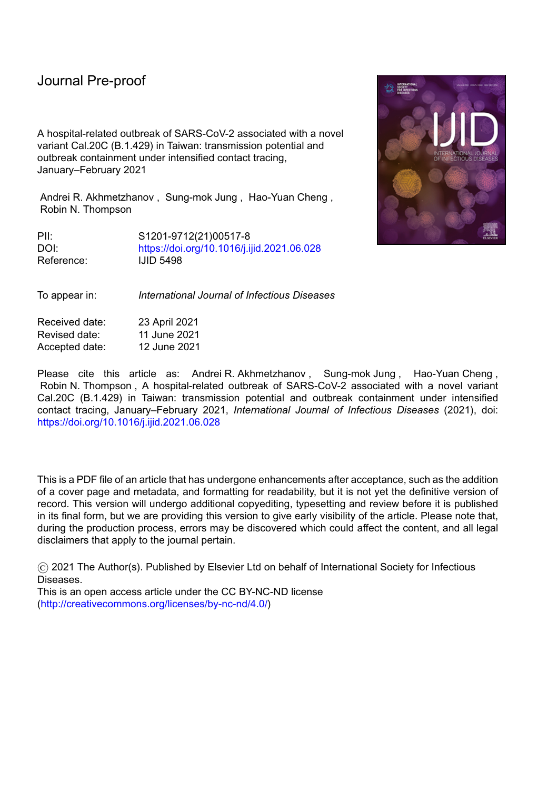l

her treatment, a doctor (B1.1) was exposed to the virus on 4 January 2021 and experienced initial mild symptoms on 8 January. The virus further spread to his household contact B1.2 and other medical personnel, most likely due to work-related interactions between B1.1, B2, and B3 on 10 January. The chains of transmission that followed then included three other work-related infections (B4–6), three infections of attending inpatients (C1.1, D1.1, E1) and transmission in their households. Household transmission accounted for 12 cases (57%), with the family cluster of B4.1 involving all seven family members including one death. In total, two deaths (B4.4, D1.1) occurred.

All cases were epidemiologically linked through contact tracing, except for an inpatient (D1.1) who had no record of contact with any known infected individual in the hospital. This suggests that his infection was likely due to either indirect transmission (e.g. via a contaminated surface from a known source) or from an undetected case. The same route of transmission could have occurred for infection of B2 by B1.1, since both individuals were wearing masks during their interaction (one of which was a highly effective surgical N95 mask).

One individual (C1.2) was pre-symptomatic when testing positive, with onset of symptoms two days later. Two infected individuals remained asymptomatic throughout infection. At least one pre-symptomatic transmission occurred: a foreign nurse (B6) was exposed to the virus on 7 January while interacting with B1.1, one day before B1.1 developed symptoms. Unlike the family cluster of B4.1, where the secondary attack rate was 100%, the employer of B6 and all his family members tested negative despite their close contact with infected case B6. Genetic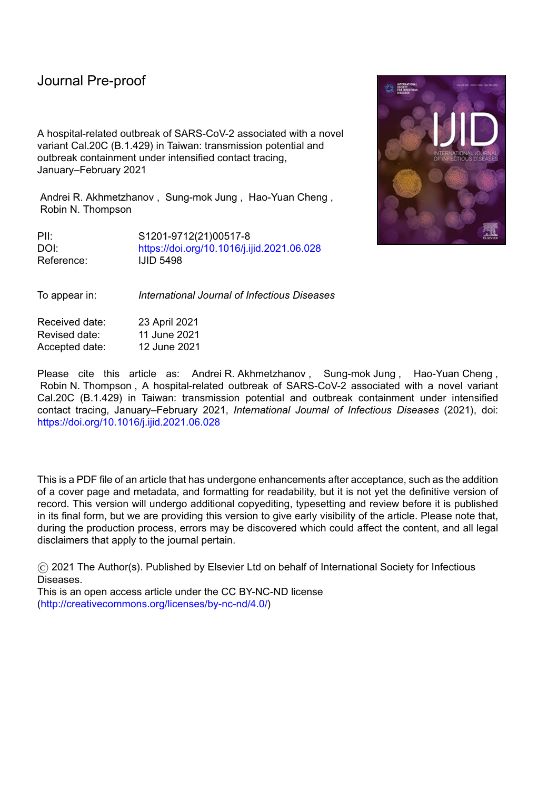sequencing of a subset of cases from the outbreak identified a novel variant Cal.20C (lineage B.1.429), originated in Southern California in 2020 (GISAID, 2021, Zhang et al., 2021).

l

#### *Reconstruction of the transmission network and estimation of the transmission potential*

We characterized the transmission potential of this novel variant by analyzing the offspring distribution, which describes the number of secondary infections per primary case. We fitted a negative-binomial distribution with mean and overdispersion parameter *k* (Riou and Althaus, 2020). The reproduction number describes the average number of secondary infections per primary case, while measures variability in the number of secondary infections and quantifies the potential for superspreading (which is more likely to occur for lower values of ).

First, we applied the Wallinga-Teunis (WT) method **(Wallinga and Teunis, 2004)** to resolve the uncertainty in transmission patterns in family clusters by incorporating the serial interval distribution from (Nishiura et al., 2020), which is similar to other reported estimates (Biggerstaff et al., 2020, Hart et al., 2021). The pairings of infectees to their infectors were known for 12 secondary cases as a result of epidemiological investigations:

{  $\{$  ,  $}, \{$  ,  $\{ \}$ , and

{ }. We assigned the infection of case D1.1, an inpatient who attended the hospital in the first week of the outbreak, to case B1.1, given the timing and that only case B1.1 was symptomatic at that time. All other potential infectors (B2, B3, B4.1, B5, and B6) developed initial symptoms more than two days after the visit of D1.1 to the hospital (Figure 1). The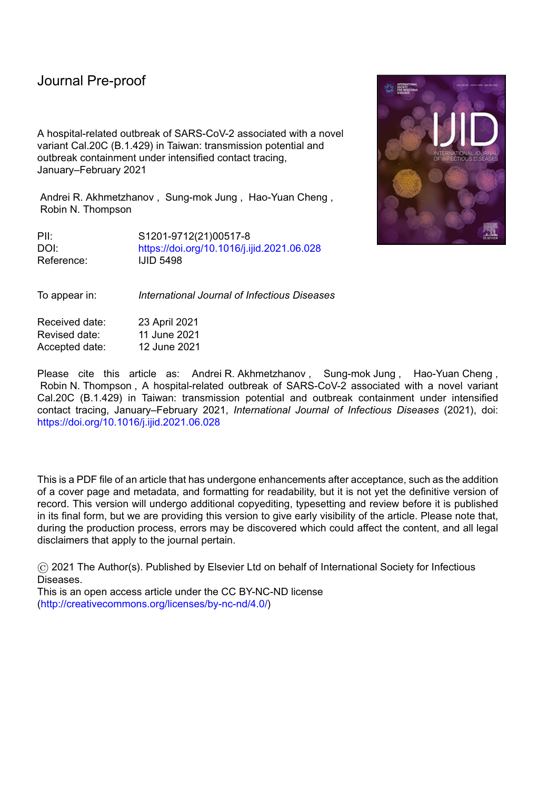infectors of the other nine cases (excluding the index case A0) were uncertain, with the following

l

| possibilities: { $\}$ , { $\}$ , { $\}$                                                          |  |  |  |  |  |  |                          |                                                   | $\overline{\phantom{a}}$ |  |
|--------------------------------------------------------------------------------------------------|--|--|--|--|--|--|--------------------------|---------------------------------------------------|--------------------------|--|
| $\}$ , { $\}$ , { $\}$<br>$\{$                                                                   |  |  |  |  |  |  | $\hspace{1.5cm} \bigr\}$ |                                                   |                          |  |
| $\{$                                                                                             |  |  |  |  |  |  |                          | $\}$ { }, and { }, and { } }. Almost all of these |                          |  |
| transmissions (except for infection of case B5) may have been due to household transmission,     |  |  |  |  |  |  |                          |                                                   |                          |  |
| and so exact determination of who-infected-whom is impossible. The infector of case B5 could     |  |  |  |  |  |  |                          |                                                   |                          |  |
| not be identified precisely as that transmission likely occurred in the workplace, where case B5 |  |  |  |  |  |  |                          |                                                   |                          |  |
| contacted multiple possible infectors. Under the WT method, for each of those nine infectees,    |  |  |  |  |  |  |                          |                                                   |                          |  |
| we selected an infector from their lists of potential infectors based on probabilistic sampling. |  |  |  |  |  |  |                          |                                                   |                          |  |
| The likelihood that case (with symptoms onset at time) infected case, relative to the            |  |  |  |  |  |  |                          |                                                   |                          |  |
| likelihood that any other potential infector infected case, was given by:                        |  |  |  |  |  |  |                          |                                                   |                          |  |

$$
\begin{array}{c}\n \left\{\n \begin{array}{c}\n \searrow \\
 \left\{\n \end{array}\n \right\}\n \end{array}
$$
\n(1)

where { } represents the serial interval distribution modeled by a Weibull distribution with the mean days (i.e. ) and shape parameter

(Nishiura et al., 2020).

Second, we determined the number of transmissions from each primary case in any probabilistic realization of the transmission network. We fitted a negative binomial probability mass function to each resulting distribution, with mean and overdispersion parameter .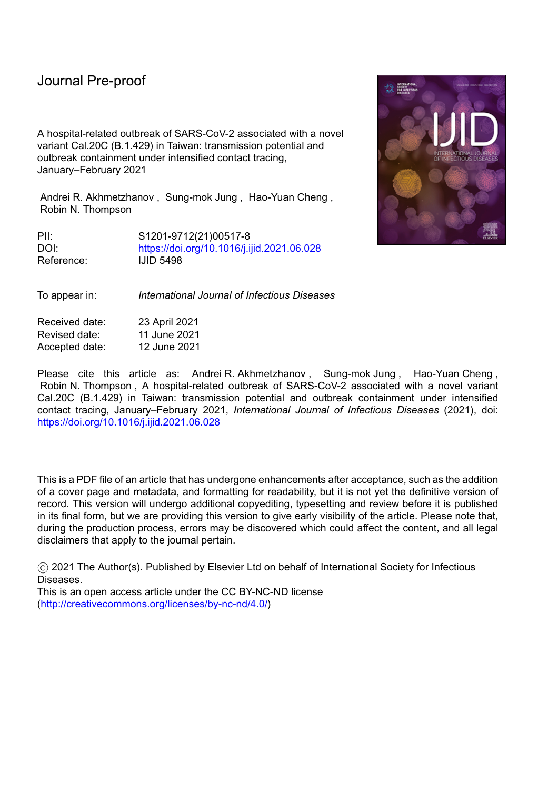#### *Generation-based reproduction number*

l

The reconstructed transmission networks allowed us to make a probabilistic assignment of generation membership to cases and derive the generation-based reproduction number, (Akhmetzhanov et al., 2018, Worden et al., 2020). Given a particular network, each node (i.e. each case) was assigned to a generation, where the value of represents the number of links from that node to the index case A0. The node A0 was placed at the root of the network and assigned to generation 0. To derive the generation-based reproduction number, we divided the number of transmissions generated by cases in generation  $\&$  by the number of cases in that generation. Hence, the reproduction number for the final generation ( was exactly zero. The reproduction number for generation zero was equal to one. Because the transmission networks were generated probabilistically, each was also characterized by a posterior distribution.

# *Estimation of the reporting delay*

Fitting the reporting delay distribution with a mixture of three shifted distributions (gamma, Weibull, and lognormal), we estimated the mean reporting delay for this outbreak (under the intensive measures that were in place for this outbreak – Scenario 1). We also considered a counterfactual scenario (Scenario 2) in which public health measures are less rigorous. Rather than attempting to model the wide range of possible effects of less rigorous contact tracing and case isolation, in Scenario 2 we simply set the reporting delay to be longer than in Scenario 1. In Scenario 2, we set the mean reporting delay by estimating its value using data for all local cases reported in Taiwan since the beginning of 2020.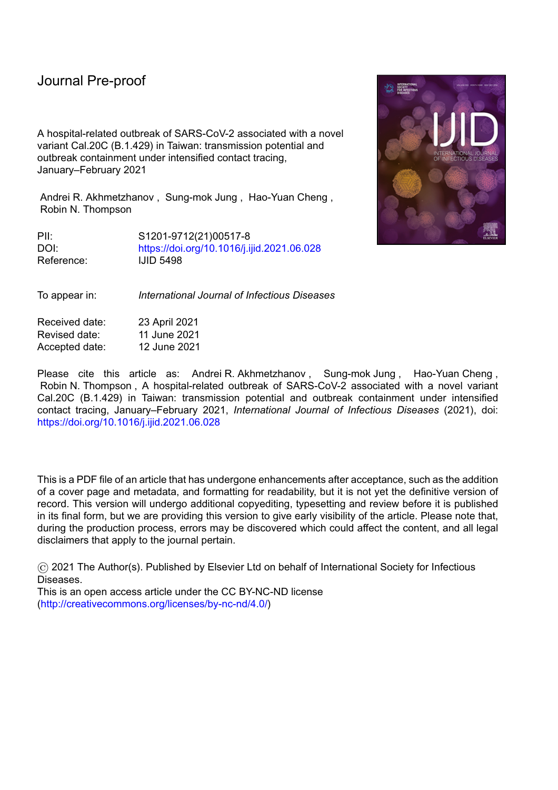l

Specifically, for each scenario, we extracted data describing dates of symptoms onset and confirmation for all symptomatic cases. The number of extracted cases was for Scenario 1 and for Scenario 2. The likelihood was given by a mixture of three component likelihoods with respective weights (and right truncation at the time of the latest update :

$$
\begin{array}{cccc}\n\{ & \} & & \{ & \} \\
\{ & \} & & \{ & \} \\
\{ & \} & & \{ & \} \\
\{ & \} & & \{ & \} \\
\{ & \} & & \{ & \} \\
\{ & \} & & \{ & \} \\
\{ & \} & & \{ & \} \\
\{ & \} & & \{ & \} \\
\{ & \} & & \{ & \} \\
\{ & \} & & \{ & \} \\
\{ & \} & & \{ & \} \\
\{ & \} & & \{ & \} \\
\{ & \} & & \{ & \} \\
\{ & \} & & \{ & \} \\
\{ & \} & & \{ & \} \\
\{ & \} & & \{ & \} \\
\{ & \} & & \{ & \} \\
\{ & \} & & \{ & \} \\
\{ & \} & & \{ & \} \\
\{ & \} & & \{ & \} \\
\{ & \} & & \{ & \} \\
\{ & \} & & \{ & \} \\
\{ & \} & & \{ & \} \\
\{ & \} & & \{ & \} \\
\{ & \} & & \{ & \} \\
\{ & \} & & \{ & \} \\
\{ & \} & & \{ & \} \\
\{ & \} & & \{ & \} \\
\{ & \} & & \{ & \} \\
\{ & \} & & \{ & \} \\
\{ & \} & & \{ & \} \\
\{ & \} & & \{ & \} \\
\{ & \} & & \{ & \} \\
\{ & \} & & \{ & \} \\
\{ & \} & & \{ & \} \\
\{ & \} & & \{ &
$$

where is the time difference between confirmation and symptom onset for case . Because the extracted data contained only the dates of symptom onset and confirmation we assumed that the priors for the times of symptom onset and confirmation were uniformly distributed within those days: and . Some observed were negative, so that the reporting delay distributions were modeled by either shifted gamma, Weibull, or lognormal distributions ( ). The function denoted the probability density function (PDF):

$$
\{ \qquad \} \tag{4}
$$

where is the shift of distribution  $($ ), and are the mean and standard deviation of the distribution . To improve the convergence of the mixture model, we assumed that parameters { } were common to the three distributions, as has been proposed elsewhere for Bayesian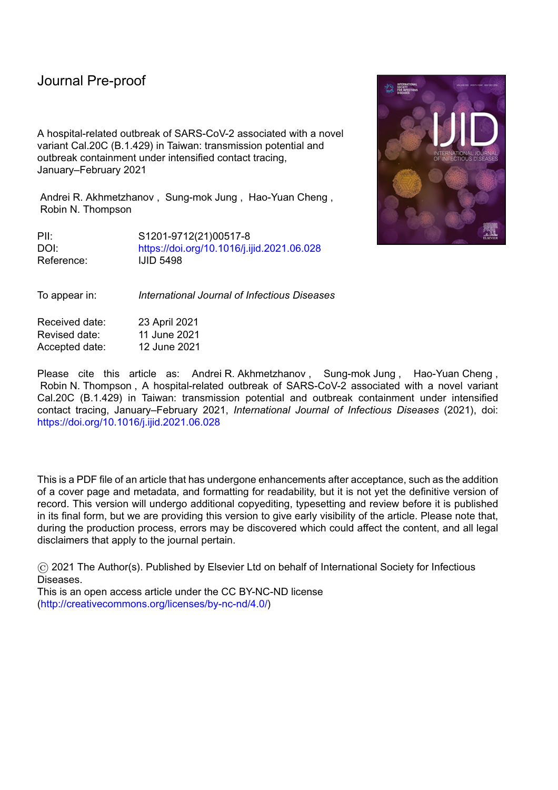model averaging (Akhmetzhanov, 2021, Keller and Kamary, 2018). denoted the cumulative distribution function (CDF). The truncation time was set to 12 April 2021.

l

The relative weightings of the different component distributions were defined using the formula:



*End-of-outbreak probability*

On a given day, to estimate whether or not the outbreak was already over, we used a previously described method devised by Linton *et al.* (Linton et al., 2021). First, we considered the epidemic curve up to the time of report with dates of symptom onsets for all symptomatic cases . The probability that one or more new cases will be reported after day is defined by the following expression:

$$
[\qquad \qquad ]\qquad \qquad (6)
$$

In this expression, is the number of cases reported on day and is the probability of transmissions occurring from a primary case , which follows a negative binomial distribution with mean and overdispersion parameter as described above. The function represents the CDF for the probability that an individual infected by case reports infection by time . This function is therefore the CDF of a convolution of the serial interval and the reporting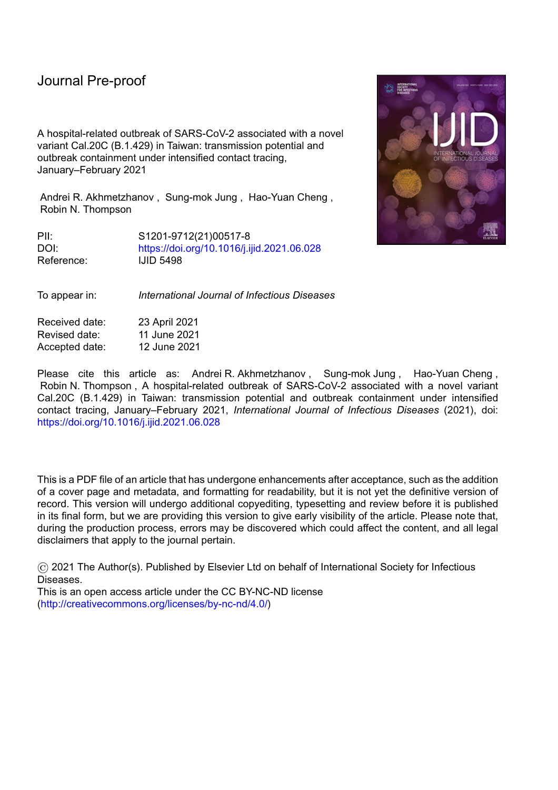delay. For each potential infectee, the reporting delay was selected at random from the three distributions described above according to the probabilities (5).

l

# *Technical details*

R 4.1.0 (R Development Core Team, 2021) and CmdStan 2.27.0 (Stan Development Team, 2021) were used to conduct the main analysis; Python 3.6 was used for statistical inference of the generation-based reproduction number. Reproducible code for this study is available on GitHub at https://github.com/aakhmetz/Taiwan-COVID19-end-of-outbreak-JanFeb2021. All derived estimates of model parameters and the results of sensitivity analyses can also be found in Supplementary Materials (Supplementary Tables 1–2, Supplementary Figures 1–3).

#### **Results**

Our statistical inference of the offspring distribution identified the median estimate to be 1.30 (95% credible interval (CI): 0.57, 3.80) and median estimate to be 0.38 (95% CI: 0.12, 1.20). The generation-based reproduction number (i.e., the expected number of transmissions arising from an infector in a specific generation of the transmission chain, where patient A0 represents generation 0) declined throughout the outbreak from generation 1 onwards. In generation 1, the generation-based reproduction number was estimated to be 6, falling below 1 by generation 3 (Supplementary Figures 4–5; Supplementary Table 2). Inspection of probabilistic transmission networks (Supplementary Figure 6) confirmed a high value of the case reproduction number, *R*,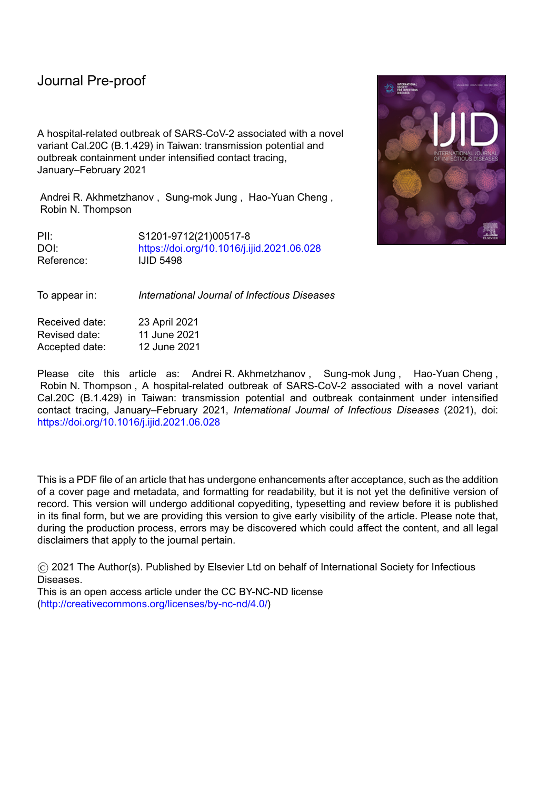l

for B1.1, but also supported sequential transmission of the virus within households resulting in a greater estimated value of compared to earlier studies (Bi et al., 2020, Endo et al., 2020, Nakajo and Nishiura, 2021). A previous study by Ng *et al.* (Ng et al., 2020) involved an analysis of data from Taiwan from 2020, and found an estimated value of that was substantially larger, in part due to the small sample size in their analysis (the posterior mean of was 19.20).

We estimated the mean reporting delay for the outbreak (under the intensive measures that were in place for this outbreak – Scenario 1) to be 2.5 days (95% CI:  $1.8$ , 3.5) with standard deviation (SD) 1.6 days (95% CI: 1.1, 2.9). Under counterfactual Scenario 2, where we instead estimated the mean reporting delay for all local cases reported in Taiwan since the beginning of 2020, the mean reporting delay was 7.8 days (95% CI: 6.2, 10.1) with SD 7.8 days (95% CI: 5.7, 13.2). Because of a small number of negative delays (i.e. some individuals were detected prior to developing symptoms), the distributions were shifted approximately 1 day earlier as a result of the model fitting (1.0 day (95% CI: 0.2, 2.9) for Scenario 1 and 0.8 days (95% CI: 0.1, 2.0) for Scenario 2). The observed difference in mean reporting delays between Scenario 1 and Scenario 2 can be attributed to different ways in which cases were detected. Under Scenario 1, cases were detected quickly by contact tracing, whereas under Scenario 2 cases were detected by both contact tracing and symptom-based surveillance (Bi et al., 2020).

Incorporating the posterior distributions for the serial interval (Nishiura et al., 2020) and the reporting delay in the formula for the end-of-outbreak probability (equation (6)), following the final case reported in this outbreak we observed a sharper decline in the estimated probability that new cases will be reported in future under Scenario 1 than Scenario 2 (green and black lines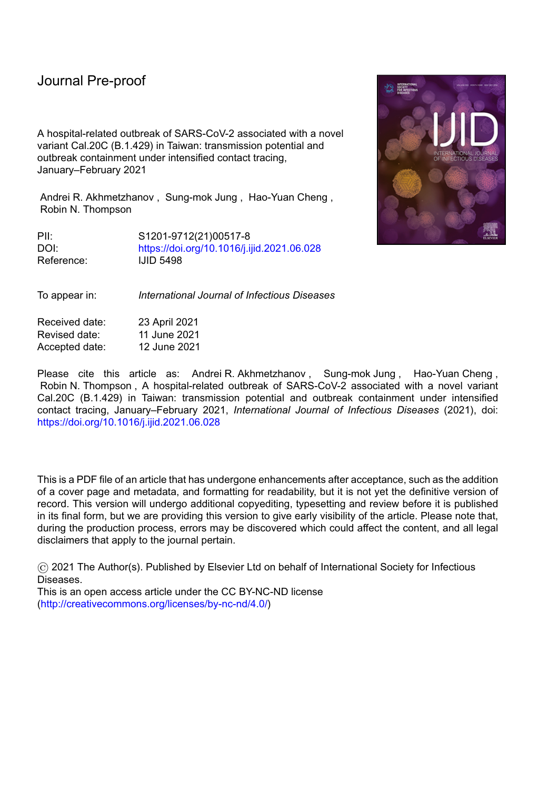l

and regions in Figure 2). Ten days after the last reported case, on 19 February this probability (reported here as a percentage) dropped to 24.7% under Scenario 1 compared to 79.7% under Scenario 2. Depending on the policy-maker's "acceptable risk", different thresholds in this probability could be chosen before declaring an outbreak over (Thompson et al., 2019). For instance, if a threshold of 10% is chosen, the outbreak could have been declared over on 24 February under Scenario 1 compared to a later date of 18 March under Scenario 2. Sensitivity analyses are presented for different values of and , as well as different reporting delay distributions for Scenario 2, in the Supplementary Material, indicating qualitatively similar results. In each case, more rigorous control measures (characterized by a shorter reporting delay) allow policy-makers to be confident that the outbreak is over sooner after the final reported case.

#### **Conclusions**

In summary, our results suggest that the rigorous public health measures that were in place allowed the outbreak end to be declared around three weeks earlier than if these intensive measures were not introduced. Stringent control measures allowed policy-makers to be confident that the epidemic was over earlier compared to a scenario with less intense measures. However, even with strict control measures, public vigilance was required for 2–3 weeks after the final reported case until total confidence that the outbreak was over was achieved (Figure 2).

We conclude that proactive countermeasures and high public compliance contributed to efficient containment and a high confidence that the hospital-related outbreak in Taiwan was over by mid-February 2021. We note that later identification of the outbreak could have led to larger number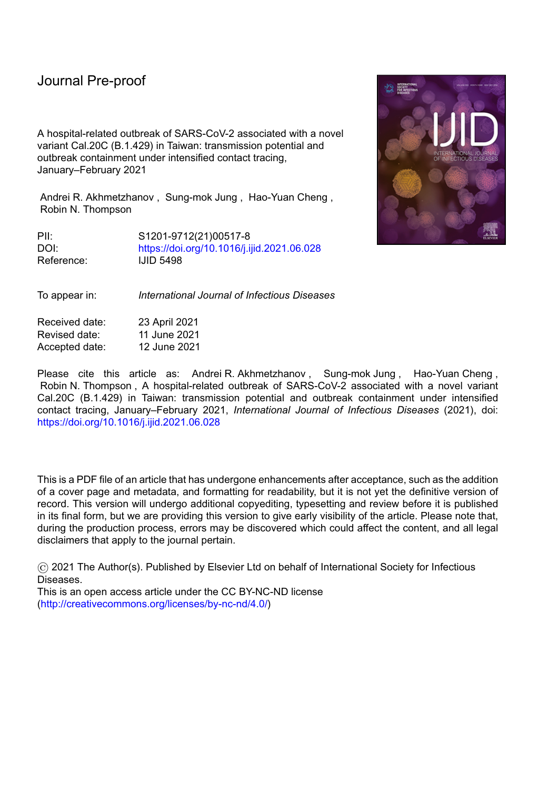of infections (Akhmetzhanov, 2020, Liu et al., 2020), and therefore potentially a later end-ofoutbreak declaration.

l

#### **Ethical Approval**

The present study used publicly available data, and thus, did not require ethical approval.

### **Declaration of interests**

 $\boxtimes$  The authors declare that they have no known competing financial interests or personal relationships that could have appeared to influence the work reported in this paper.

### **Acknowledgments**

We thank Taiwan public health authorities and institutions for surveillance, laboratory testing, epidemiological investigations, and data collection. We are grateful to two anonymous reviewers for their helpful comments. A.R.A. also thanks Yin-Chin Fan and Yun-Chun Wu (National Taiwan University) for discussions about this topic.

### **Conflict of Interest**

We declare that we have no conflict of interest.

**Funding Source**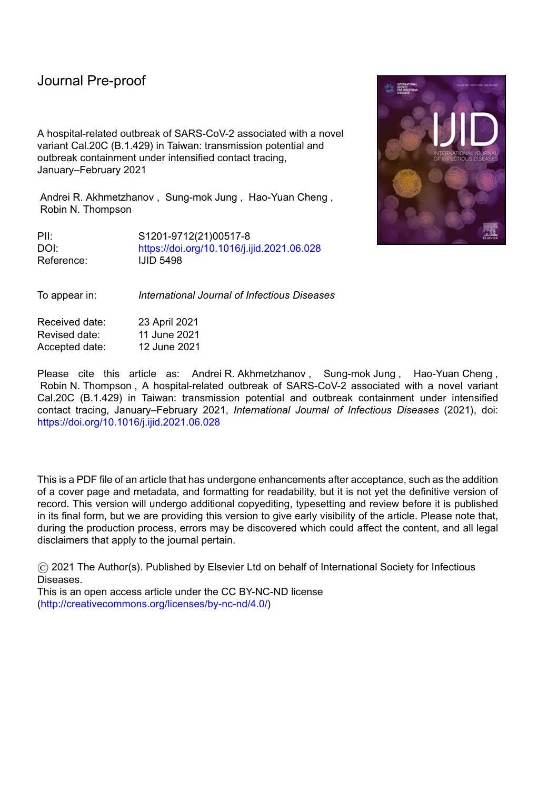S-m.J. received funding from the Japan Society for the Promotion of Science (JSPS) via a KAKENHI grant (20J2135800).

l

#### **References**

Akhmetzhanov AR. Large SARS-CoV-2 Outbreak Caused by Asymptomatic Traveler, China. Emerg Infect Dis 2020;26(12):3106.

Akhmetzhanov AR. Estimation of delay-adjusted all-cause excess mortality in the USA: March– December 2020 (Submitted). Epidemiol Infect 2021.

Akhmetzhanov AR, Lee H, Jung S-m, Kinoshita R, Shimizu K, Yoshi K, et al. Real time forecasting of measles using generation-dependent mathematical model in Japan, 2018. PLoS Curr Outbreaks 2018;10.

Bi Q, Wu Y, Mei S, Ye C, Zou X, Zhang Z, et al. Epidemiology and transmission of COVID-19 in 391 cases and 1286 of their close contacts in Shenzhen, China: a retrospective cohort study. Lancet Infect Dis 2020;20(8):911-9.

Biggerstaff M, Cowling BJ, Cucunubá ZM, Dinh L, Ferguson NM, Gao H, et al. Early insights from statistical and mathematical modeling of key epidemiologic parameters of COVID-19. Emerg Infect Dis 2020;26(11).

Central Epidemic Command Center. COVID-19 press conference of 5 February 2021 (in Chinese); 2021a. Available from: https://youtu.be/SLMJIV6ncBI. [Accessed 12 April 2021].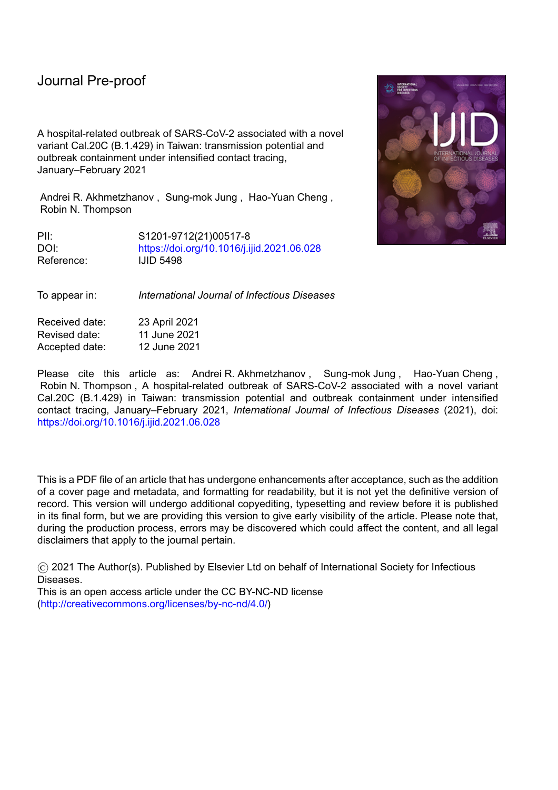Central Epidemic Command Center. COVID-19 press conference of 17 January 2021 (in Chinese); 2021b. Available from: https://youtu.be/LvGoNhe2lXw. [Accessed 12 April 2021].

l

Djaafara BA, Imai N, Hamblion E, Impouma B, Donnelly CA, Cori A. A quantitative framework for defining the end of an infectious disease outbreak: application to Ebola virus disease. Am J Epidemiol 2021;190(4):642-51.

Endo A, Centre for the Mathematical Modelling of Infectious Diseases COVID-19 Working Group, Abbott S, Kucharski AJ, Funk S. Estimating the overdispersion in COVID-19 transmission using outbreak sizes outside China [version 3; peer review: 2 approved]. Wellcome Open Res 2020;5.

GISAID. Accession numbers of first 3 samples: EPI\_ISL\_956329, EPI\_ISL\_956330, EPI\_ISL\_1020315. 2021.

Hart WS, Maini PK, Thompson RN. High infectiousness immediately before COVID-19 symptom onset highlights the importance of continued contact tracing. eLife 2021;10.

Keller M, Kamary K. Bayesian model averaging via mixture model estimation. arXiv 2018. Linton NM, Akhmetzhanov AR, Nishiura H. Localized end-of-outbreak determination for coronavirus disease 2019 (COVID-19): examples from clusters in Japan. Int J Infect Dis 2021;105:286-92.

Liu J, Huang J, Xiang D. Large SARS-CoV-2 outbreak caused by asymptomatic traveler, China. Emerg Infect Dis 2020;26:2260-3.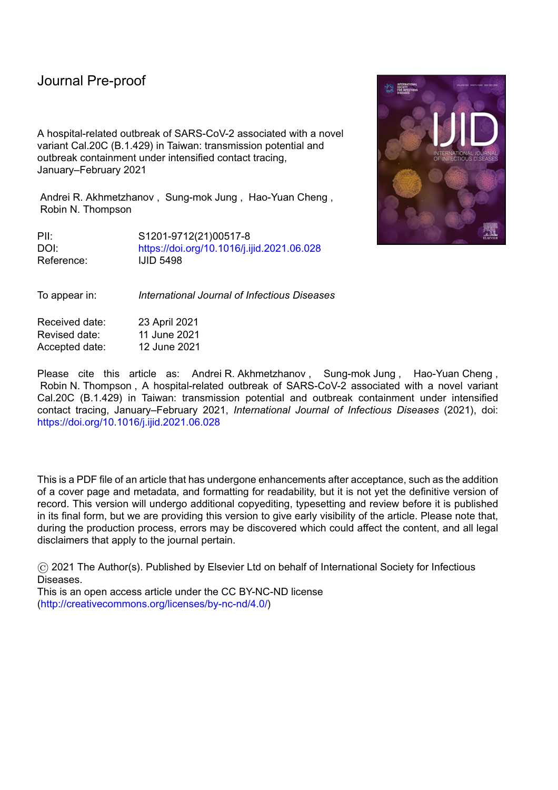Nakajo K, Nishiura H. Transmissibility of asymptomatic COVID-19: Data from Japanese clusters. Int J Infect Dis 2021;105:236-8.

Ng T, Cheng H, Chang H, Liu C, Yang C, Jian S, et al. Effects of case- and population-based

COVID-19 interventions in Taiwan. medrxiv 2020.

l

Nishiura H, Linton NM, Akhmetzhanov AR, 2020;113332. Serial interval of novel coronavirus (COVID-19) infections. Int J Infect Dis 2020;93:284-6.

Nishiura H, Miyamatsu Y, Mizumoto K. Objective determination of end of MERS outbreak,

South Korea, 2015. Emerg Infect Dis 2016;22(1):146-8.

Parag KV, Donnelly CA, Jha R, Thompson RN. An exact method for quantifying the reliability of end-of-epidemic declarations in real time. PLoS Comput Biol 2020;16(11):e1008478.

R Development Core Team. R: a language and environment for statistical computing; 2021. Available from: https://www.r-project.org.

Riou J, Althaus CL. Pattern of early human-to-human transmission of Wuhan 2019 novel coronavirus (2019-nCoV), December 2019 to January 2020. Euro Surveill 2020;25(4).

Stan Development Team. Stan modeling language users guide and reference manual, 2.27.0; 2021. Available from: https://mc-stan.org. [Accessed 3 June 2021].

Taiwan Centers for Disease Control. 2021. Available from: https://www.cdc.gov.tw. [Accessed 12 April 2021].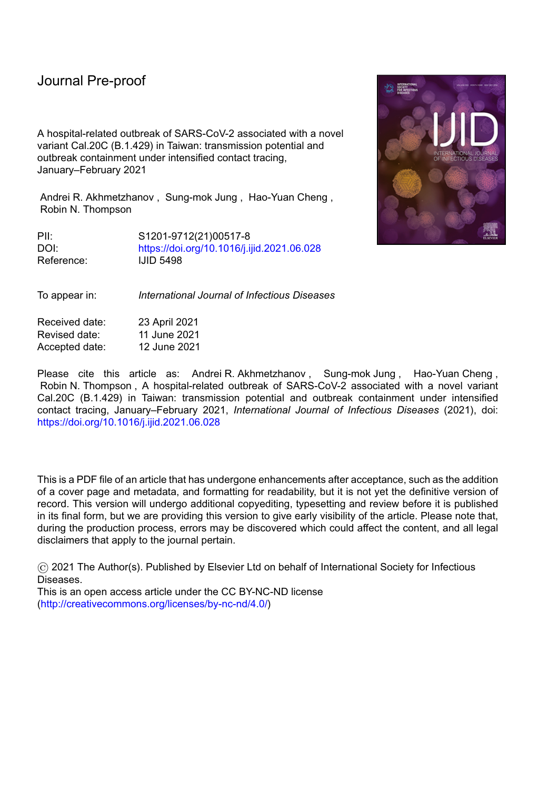Thompson RN, Morgan OW, Jalava K. Rigorous surveillance is necessary for high confidence in end-of-outbreak declarations for Ebola and other infectious diseases. Phil Trans Roy Soc B 2019;374(1776).

Tian L, Li X, Qi F, Tang Q-Y, Tang V, Liu J, et al. Harnessing peak transmission around symptom onset for non-pharmaceutical intervention and containment of the COVID-19 pandemic. Nat Commun 2021;12(1).

Wallinga J, Teunis P. Different epidemic curves for severe acute respiratory syndrome reveal similar impacts of control measures. Am J Epidemiol 2004;160:509-16.

Worden L, Ackley SF, Zipprich J, Harriman K, Enanoria WTA, Wannier R, et al. Measles

transmission during a large outbreak in California. Epidemics 2020;30.

South

l

Zhang W, Davis BD, Chen SS, Sincuir Martinez JM, Plummer JT, Vail E. Emergence of a novel SARS-CoV-2 variant in Southern California. JAMA 2021;325(13):1324-6.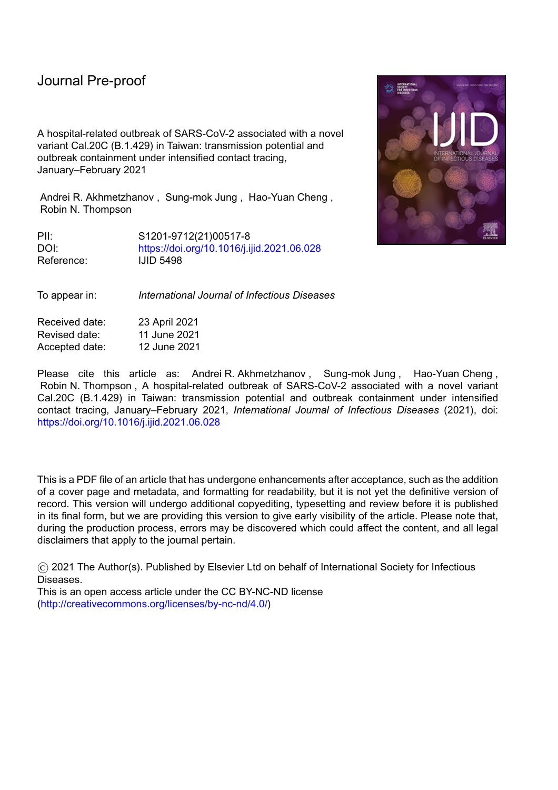l

### **Figures**